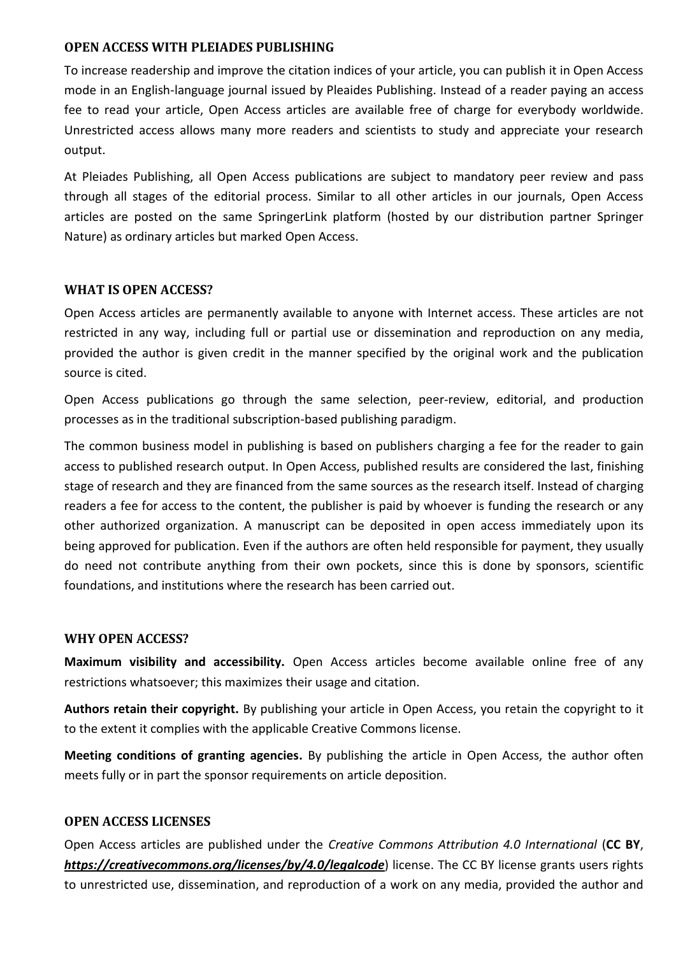## **OPEN ACCESS WITH PLEIADES PUBLISHING**

To increase readership and improve the citation indices of your article, you can publish it in Open Access mode in an English-language journal issued by Pleaides Publishing. Instead of a reader paying an access fee to read your article, Open Access articles are available free of charge for everybody worldwide. Unrestricted access allows many more readers and scientists to study and appreciate your research output.

At Pleiades Publishing, all Open Access publications are subject to mandatory peer review and pass through all stages of the editorial process. Similar to all other articles in our journals, Open Access articles are posted on the same SpringerLink platform (hosted by our distribution partner Springer Nature) as ordinary articles but marked Open Access.

## **WHAT IS OPEN ACCESS?**

Open Access articles are permanently available to anyone with Internet access. These articles are not restricted in any way, including full or partial use or dissemination and reproduction on any media, provided the author is given credit in the manner specified by the original work and the publication source is cited.

Open Access publications go through the same selection, peer-review, editorial, and production processes as in the traditional subscription-based publishing paradigm.

The common business model in publishing is based on publishers charging a fee for the reader to gain access to published research output. In Open Access, published results are considered the last, finishing stage of research and they are financed from the same sources as the research itself. Instead of charging readers a fee for access to the content, the publisher is paid by whoever is funding the research or any other authorized organization. A manuscript can be deposited in open access immediately upon its being approved for publication. Even if the authors are often held responsible for payment, they usually do need not contribute anything from their own pockets, since this is done by sponsors, scientific foundations, and institutions where the research has been carried out.

## **WHY OPEN ACCESS?**

**Maximum visibility and accessibility.** Open Access articles become available online free of any restrictions whatsoever; this maximizes their usage and citation.

**Authors retain their copyright.** By publishing your article in Open Access, you retain the copyright to it to the extent it complies with the applicable Creative Commons license.

**Meeting conditions of granting agencies.** By publishing the article in Open Access, the author often meets fully or in part the sponsor requirements on article deposition.

### **OPEN ACCESS LICENSES**

Open Access articles are published under the *Creative Commons Attribution 4.0 International* (**CC BY**, *<https://creativecommons.org/licenses/by/4.0/legalcode>*) license. The CC BY license grants users rights to unrestricted use, dissemination, and reproduction of a work on any media, provided the author and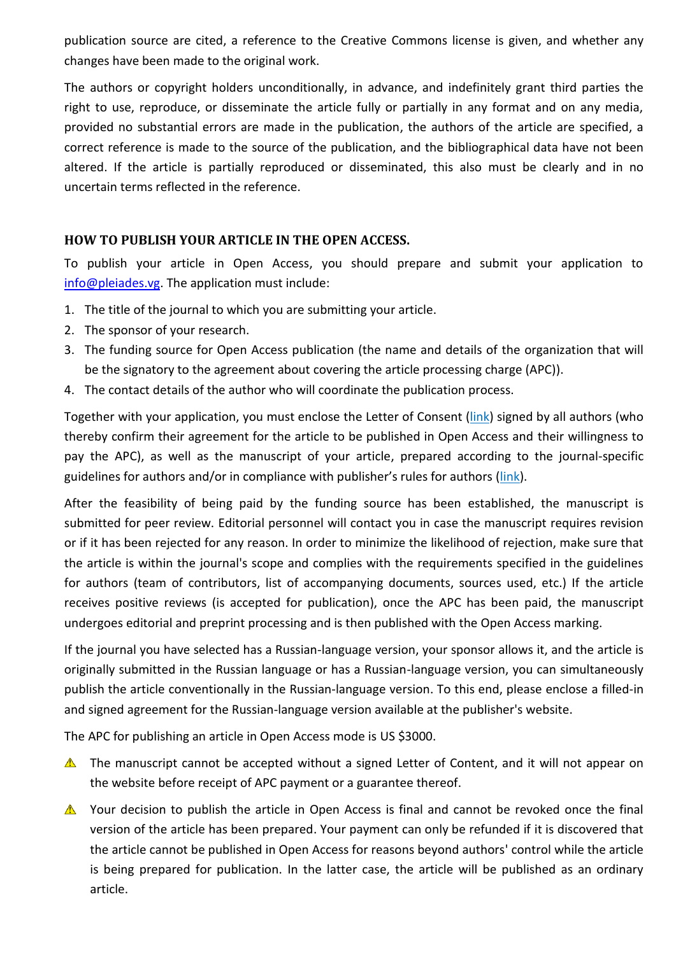publication source are cited, a reference to the Creative Commons license is given, and whether any changes have been made to the original work.

The authors or copyright holders unconditionally, in advance, and indefinitely grant third parties the right to use, reproduce, or disseminate the article fully or partially in any format and on any media, provided no substantial errors are made in the publication, the authors of the article are specified, a correct reference is made to the source of the publication, and the bibliographical data have not been altered. If the article is partially reproduced or disseminated, this also must be clearly and in no uncertain terms reflected in the reference.

# **HOW TO PUBLISH YOUR ARTICLE IN THE OPEN ACCESS.**

To publish your article in Open Access, you should prepare and submit your application to [info@pleiades.vg.](mailto:info@pleiades.vg) The application must include:

- 1. The title of the journal to which you are submitting your article.
- 2. The sponsor of your research.
- 3. The funding source for Open Access publication (the name and details of the organization that will be the signatory to the agreement about covering the article processing charge (APC)).
- 4. The contact details of the author who will coordinate the publication process.

Together with your application, you must enclose the Letter of Consent (link) signed by all authors (who thereby confirm their agreement for the article to be published in Open Access and their willingness to pay the APC), as well as the manuscript of your article, prepared according to the journal-specific guidelines for authors and/or in compliance with publisher's rules for authors (link).

After the feasibility of being paid by the funding source has been established, the manuscript is submitted for peer review. Editorial personnel will contact you in case the manuscript requires revision or if it has been rejected for any reason. In order to minimize the likelihood of rejection, make sure that the article is within the journal's scope and complies with the requirements specified in the guidelines for authors (team of contributors, list of accompanying documents, sources used, etc.) If the article receives positive reviews (is accepted for publication), once the APC has been paid, the manuscript undergoes editorial and preprint processing and is then published with the Open Access marking.

If the journal you have selected has a Russian-language version, your sponsor allows it, and the article is originally submitted in the Russian language or has a Russian-language version, you can simultaneously publish the article conventionally in the Russian-language version. To this end, please enclose a filled-in and signed agreement for the Russian-language version available at the publisher's website.

The APC for publishing an article in Open Access mode is US \$3000.

- $\triangle$  The manuscript cannot be accepted without a signed Letter of Content, and it will not appear on the website before receipt of APC payment or a guarantee thereof.
- $\triangle$  Your decision to publish the article in Open Access is final and cannot be revoked once the final version of the article has been prepared. Your payment can only be refunded if it is discovered that the article cannot be published in Open Access for reasons beyond authors' control while the article is being prepared for publication. In the latter case, the article will be published as an ordinary article.